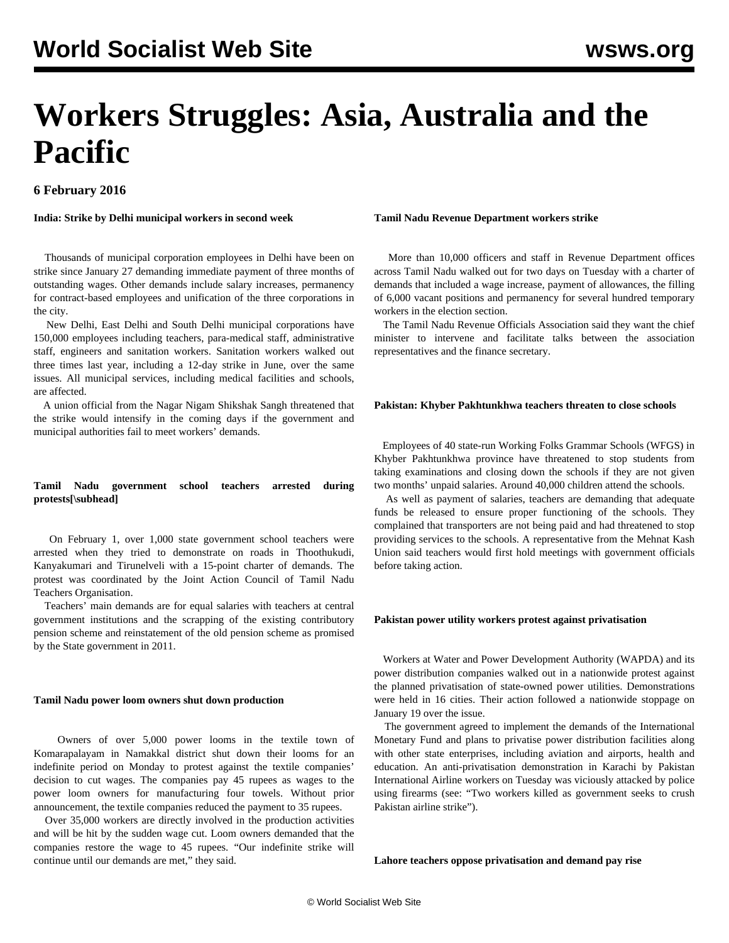# **Workers Struggles: Asia, Australia and the Pacific**

**6 February 2016**

**India: Strike by Delhi municipal workers in second week**

 Thousands of municipal corporation employees in Delhi have been on strike since January 27 demanding immediate payment of three months of outstanding wages. Other demands include salary increases, permanency for contract-based employees and unification of the three corporations in the city.

 New Delhi, East Delhi and South Delhi municipal corporations have 150,000 employees including teachers, para-medical staff, administrative staff, engineers and sanitation workers. Sanitation workers walked out three times last year, including a 12-day strike in June, over the same issues. All municipal services, including medical facilities and schools, are affected.

 A union official from the Nagar Nigam Shikshak Sangh threatened that the strike would intensify in the coming days if the government and municipal authorities fail to meet workers' demands.

# **Tamil Nadu government school teachers arrested during protests[\subhead]**

 On February 1, over 1,000 state government school teachers were arrested when they tried to demonstrate on roads in Thoothukudi, Kanyakumari and Tirunelveli with a 15-point charter of demands. The protest was coordinated by the Joint Action Council of Tamil Nadu Teachers Organisation.

 Teachers' main demands are for equal salaries with teachers at central government institutions and the scrapping of the existing contributory pension scheme and reinstatement of the old pension scheme as promised by the State government in 2011.

# **Tamil Nadu power loom owners shut down production**

 Owners of over 5,000 power looms in the textile town of Komarapalayam in Namakkal district shut down their looms for an indefinite period on Monday to protest against the textile companies' decision to cut wages. The companies pay 45 rupees as wages to the power loom owners for manufacturing four towels. Without prior announcement, the textile companies reduced the payment to 35 rupees.

 Over 35,000 workers are directly involved in the production activities and will be hit by the sudden wage cut. Loom owners demanded that the companies restore the wage to 45 rupees. "Our indefinite strike will continue until our demands are met," they said.

#### **Tamil Nadu Revenue Department workers strike**

 More than 10,000 officers and staff in Revenue Department offices across Tamil Nadu walked out for two days on Tuesday with a charter of demands that included a wage increase, payment of allowances, the filling of 6,000 vacant positions and permanency for several hundred temporary workers in the election section.

 The Tamil Nadu Revenue Officials Association said they want the chief minister to intervene and facilitate talks between the association representatives and the finance secretary.

# **Pakistan: Khyber Pakhtunkhwa teachers threaten to close schools**

 Employees of 40 state-run Working Folks Grammar Schools (WFGS) in Khyber Pakhtunkhwa province have threatened to stop students from taking examinations and closing down the schools if they are not given two months' unpaid salaries. Around 40,000 children attend the schools.

 As well as payment of salaries, teachers are demanding that adequate funds be released to ensure proper functioning of the schools. They complained that transporters are not being paid and had threatened to stop providing services to the schools. A representative from the Mehnat Kash Union said teachers would first hold meetings with government officials before taking action.

#### **Pakistan power utility workers protest against privatisation**

 Workers at Water and Power Development Authority (WAPDA) and its power distribution companies walked out in a nationwide protest against the planned privatisation of state-owned power utilities. Demonstrations were held in 16 cities. Their action followed a nationwide stoppage on January 19 over the issue.

 The government agreed to implement the demands of the International Monetary Fund and plans to privatise power distribution facilities along with other state enterprises, including aviation and airports, health and education. An anti-privatisation demonstration in Karachi by Pakistan International Airline workers on Tuesday was viciously attacked by police using firearms (see: "[Two workers killed as government seeks to crush](/en/articles/2016/02/04/paki-f04.html) [Pakistan airline strike](/en/articles/2016/02/04/paki-f04.html)").

**Lahore teachers oppose privatisation and demand pay rise**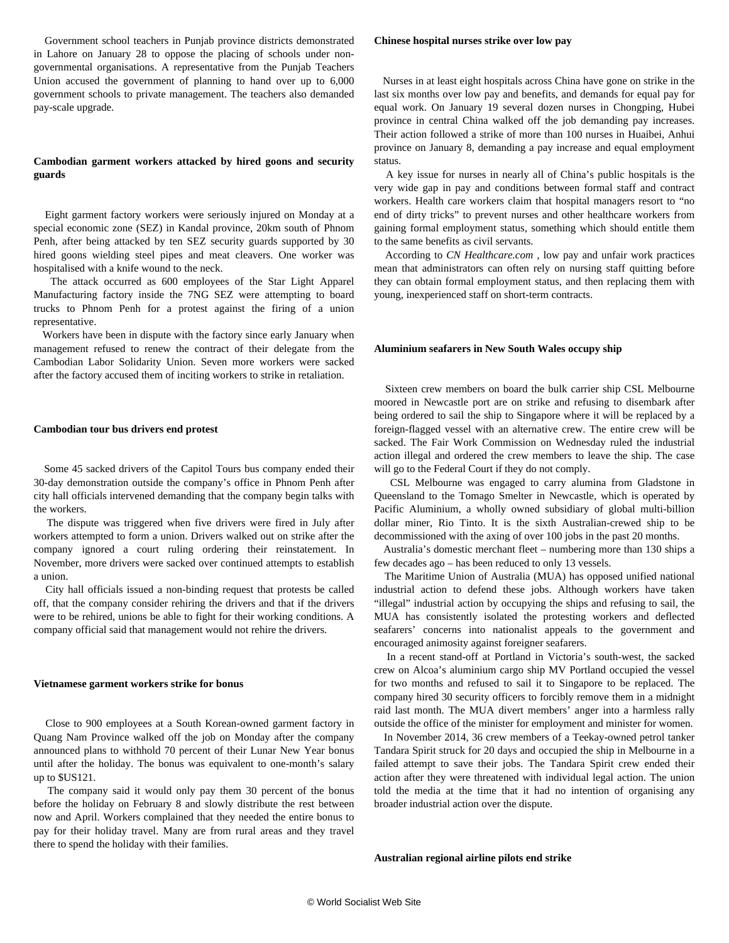Government school teachers in Punjab province districts demonstrated in Lahore on January 28 to oppose the placing of schools under nongovernmental organisations. A representative from the Punjab Teachers Union accused the government of planning to hand over up to 6,000 government schools to private management. The teachers also demanded pay-scale upgrade.

# **Cambodian garment workers attacked by hired goons and security guards**

 Eight garment factory workers were seriously injured on Monday at a special economic zone (SEZ) in Kandal province, 20km south of Phnom Penh, after being attacked by ten SEZ security guards supported by 30 hired goons wielding steel pipes and meat cleavers. One worker was hospitalised with a knife wound to the neck.

 The attack occurred as 600 employees of the Star Light Apparel Manufacturing factory inside the 7NG SEZ were attempting to board trucks to Phnom Penh for a protest against the firing of a union representative.

 Workers have been in dispute with the factory since early January when management refused to renew the contract of their delegate from the Cambodian Labor Solidarity Union. Seven more workers were sacked after the factory accused them of inciting workers to strike in retaliation.

#### **Cambodian tour bus drivers end protest**

 Some 45 sacked drivers of the Capitol Tours bus company ended their 30-day demonstration outside the company's office in Phnom Penh after city hall officials intervened demanding that the company begin talks with the workers.

 The dispute was triggered when five drivers were fired in July after workers attempted to form a union. Drivers walked out on strike after the company ignored a court ruling ordering their reinstatement. In November, more drivers were sacked over continued attempts to establish a union.

 City hall officials issued a non-binding request that protests be called off, that the company consider rehiring the drivers and that if the drivers were to be rehired, unions be able to fight for their working conditions. A company official said that management would not rehire the drivers.

#### **Vietnamese garment workers strike for bonus**

 Close to 900 employees at a South Korean-owned garment factory in Quang Nam Province walked off the job on Monday after the company announced plans to withhold 70 percent of their Lunar New Year bonus until after the holiday. The bonus was equivalent to one-month's salary up to \$US121.

 The company said it would only pay them 30 percent of the bonus before the holiday on February 8 and slowly distribute the rest between now and April. Workers complained that they needed the entire bonus to pay for their holiday travel. Many are from rural areas and they travel there to spend the holiday with their families.

#### **Chinese hospital nurses strike over low pay**

 Nurses in at least eight hospitals across China have gone on strike in the last six months over low pay and benefits, and demands for equal pay for equal work. On January 19 several dozen nurses in Chongping, Hubei province in central China walked off the job demanding pay increases. Their action followed a strike of more than 100 nurses in Huaibei, Anhui province on January 8, demanding a pay increase and equal employment status.

 A key issue for nurses in nearly all of China's public hospitals is the very wide gap in pay and conditions between formal staff and contract workers. Health care workers claim that hospital managers resort to "no end of dirty tricks" to prevent nurses and other healthcare workers from gaining formal employment status, something which should entitle them to the same benefits as civil servants.

 According to *CN Healthcare.com ,* low pay and unfair work practices mean that administrators can often rely on nursing staff quitting before they can obtain formal employment status, and then replacing them with young, inexperienced staff on short-term contracts.

#### **Aluminium seafarers in New South Wales occupy ship**

 Sixteen crew members on board the bulk carrier ship CSL Melbourne moored in Newcastle port are on strike and refusing to disembark after being ordered to sail the ship to Singapore where it will be replaced by a foreign-flagged vessel with an alternative crew. The entire crew will be sacked. The Fair Work Commission on Wednesday ruled the industrial action illegal and ordered the crew members to leave the ship. The case will go to the Federal Court if they do not comply.

 CSL Melbourne was engaged to carry alumina from Gladstone in Queensland to the Tomago Smelter in Newcastle, which is operated by Pacific Aluminium, a wholly owned subsidiary of global multi-billion dollar miner, Rio Tinto. It is the sixth Australian-crewed ship to be decommissioned with the axing of over 100 jobs in the past 20 months.

 Australia's domestic merchant fleet – numbering more than 130 ships a few decades ago – has been reduced to only 13 vessels.

 The Maritime Union of Australia (MUA) has opposed unified national industrial action to defend these jobs. Although workers have taken "illegal" industrial action by occupying the ships and refusing to sail, the MUA has consistently isolated the protesting workers and deflected seafarers' concerns into nationalist appeals to the government and encouraged animosity against foreigner seafarers.

 In a recent stand-off at Portland in Victoria's south-west, the sacked crew on Alcoa's aluminium cargo ship MV Portland occupied the vessel for two months and refused to sail it to Singapore to be replaced. The company hired 30 security officers to forcibly remove them in a midnight raid last month. The MUA divert members' anger into a harmless rally outside the office of the minister for employment and minister for women.

 In November 2014, 36 crew members of a Teekay-owned petrol tanker Tandara Spirit struck for 20 days and occupied the ship in Melbourne in a failed attempt to save their jobs. The Tandara Spirit crew ended their action after they were threatened with individual legal action. The union told the media at the time that it had no intention of organising any broader industrial action over the dispute.

#### **Australian regional airline pilots end strike**